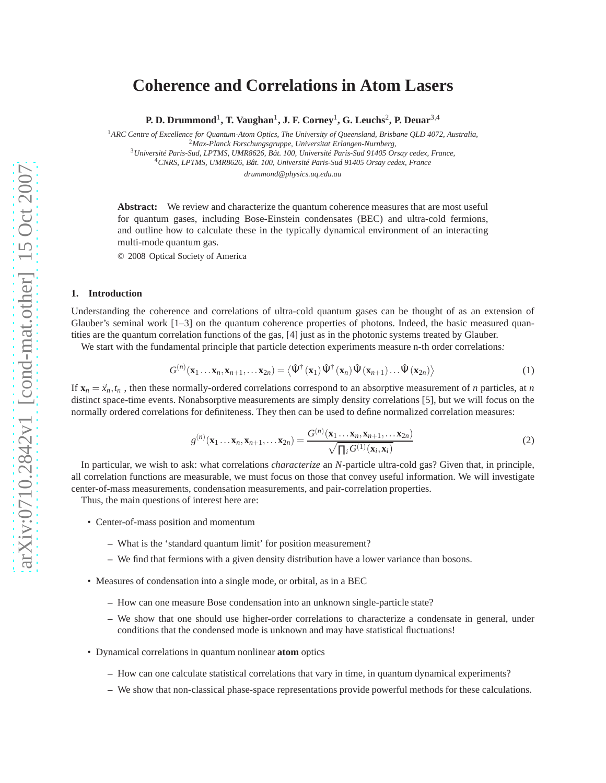# **Coherence and Correlations in Atom Lasers**

**P. D. Drummond**<sup>1</sup> **, T. Vaughan**<sup>1</sup> **, J. F. Corney**<sup>1</sup> **, G. Leuchs**<sup>2</sup> **, P. Deuar**3,<sup>4</sup>

<sup>1</sup>*ARC Centre of Excellence for Quantum-Atom Optics, The University of Queensland, Brisbane QLD 4072, Australia,* <sup>2</sup>*Max-Planck Forschungsgruppe, Universitat Erlangen-Nurnberg,* <sup>3</sup>*Université Paris-Sud, LPTMS, UMR8626, Bât. 100, Université Paris-Sud 91405 Orsay cedex, France,*

<sup>4</sup>*CNRS, LPTMS, UMR8626, Bât. 100, Université Paris-Sud 91405 Orsay cedex, France*

*drummond@physics.uq.edu.au*

**Abstract:** We review and characterize the quantum coherence measures that are most useful for quantum gases, including Bose-Einstein condensates (BEC) and ultra-cold fermions, and outline how to calculate these in the typically dynamical environment of an interacting multi-mode quantum gas.

© 2008 Optical Society of America

## **1. Introduction**

Understanding the coherence and correlations of ultra-cold quantum gases can be thought of as an extension of Glauber's seminal work [1–3] on the quantum coherence properties of photons. Indeed, the basic measured quantities are the quantum correlation functions of the gas, [4] just as in the photonic systems treated by Glauber.

We start with the fundamental principle that particle detection experiments measure n-th order correlations*:*

$$
G^{(n)}(\mathbf{x}_1 \dots \mathbf{x}_n, \mathbf{x}_{n+1}, \dots \mathbf{x}_{2n}) = \langle \hat{\Psi}^{\dagger}(\mathbf{x}_1) \hat{\Psi}^{\dagger}(\mathbf{x}_n) \hat{\Psi}(\mathbf{x}_{n+1}) \dots \hat{\Psi}(\mathbf{x}_{2n}) \rangle \tag{1}
$$

If  $\mathbf{x}_n = \vec{x}_n, t_n$ , then these normally-ordered correlations correspond to an absorptive measurement of *n* particles, at *n* distinct space-time events. Nonabsorptive measurements are simply density correlations [5], but we will focus on the normally ordered correlations for definiteness. They then can be used to define normalized correlation measures:

$$
g^{(n)}(\mathbf{x}_1 \dots \mathbf{x}_n, \mathbf{x}_{n+1}, \dots \mathbf{x}_{2n}) = \frac{G^{(n)}(\mathbf{x}_1 \dots \mathbf{x}_n, \mathbf{x}_{n+1}, \dots \mathbf{x}_{2n})}{\sqrt{\prod_i G^{(1)}(\mathbf{x}_i, \mathbf{x}_i)}}
$$
(2)

In particular, we wish to ask: what correlations *characterize* an *N*-particle ultra-cold gas? Given that, in principle, all correlation functions are measurable, we must focus on those that convey useful information. We will investigate center-of-mass measurements, condensation measurements, and pair-correlation properties.

Thus, the main questions of interest here are:

- Center-of-mass position and momentum
	- **–** What is the 'standard quantum limit' for position measurement?
	- **–** We find that fermions with a given density distribution have a lower variance than bosons.
- Measures of condensation into a single mode, or orbital, as in a BEC
	- **–** How can one measure Bose condensation into an unknown single-particle state?
	- **–** We show that one should use higher-order correlations to characterize a condensate in general, under conditions that the condensed mode is unknown and may have statistical fluctuations!
- Dynamical correlations in quantum nonlinear **atom** optics
	- **–** How can one calculate statistical correlations that vary in time, in quantum dynamical experiments?
	- **–** We show that non-classical phase-space representations provide powerful methods for these calculations.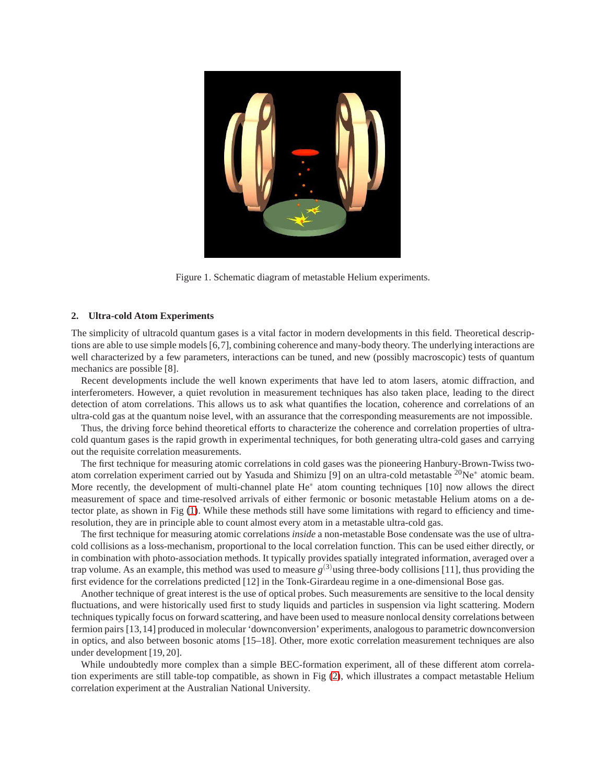

Figure 1. Schematic diagram of metastable Helium experiments.

# <span id="page-1-0"></span>**2. Ultra-cold Atom Experiments**

The simplicity of ultracold quantum gases is a vital factor in modern developments in this field. Theoretical descriptions are able to use simple models [6,7], combining coherence and many-body theory. The underlying interactions are well characterized by a few parameters, interactions can be tuned, and new (possibly macroscopic) tests of quantum mechanics are possible [8].

Recent developments include the well known experiments that have led to atom lasers, atomic diffraction, and interferometers. However, a quiet revolution in measurement techniques has also taken place, leading to the direct detection of atom correlations. This allows us to ask what quantifies the location, coherence and correlations of an ultra-cold gas at the quantum noise level, with an assurance that the corresponding measurements are not impossible.

Thus, the driving force behind theoretical efforts to characterize the coherence and correlation properties of ultracold quantum gases is the rapid growth in experimental techniques, for both generating ultra-cold gases and carrying out the requisite correlation measurements.

The first technique for measuring atomic correlations in cold gases was the pioneering Hanbury-Brown-Twiss twoatom correlation experiment carried out by Yasuda and Shimizu [9] on an ultra-cold metastable <sup>20</sup>Ne<sup>∗</sup> atomic beam. More recently, the development of multi-channel plate He<sup>∗</sup> atom counting techniques [10] now allows the direct measurement of space and time-resolved arrivals of either fermonic or bosonic metastable Helium atoms on a detector plate, as shown in Fig [\(1\)](#page-1-0). While these methods still have some limitations with regard to efficiency and timeresolution, they are in principle able to count almost every atom in a metastable ultra-cold gas.

The first technique for measuring atomic correlations *inside* a non-metastable Bose condensate was the use of ultracold collisions as a loss-mechanism, proportional to the local correlation function. This can be used either directly, or in combination with photo-association methods. It typically provides spatially integrated information, averaged over a trap volume. As an example, this method was used to measure  $g^{(3)}$ using three-body collisions [11], thus providing the first evidence for the correlations predicted [12] in the Tonk-Girardeau regime in a one-dimensional Bose gas.

Another technique of great interest is the use of optical probes. Such measurements are sensitive to the local density fluctuations, and were historically used first to study liquids and particles in suspension via light scattering. Modern techniques typically focus on forward scattering, and have been used to measure nonlocal density correlations between fermion pairs [13,14] produced in molecular 'downconversion' experiments, analogous to parametric downconversion in optics, and also between bosonic atoms [15–18]. Other, more exotic correlation measurement techniques are also under development [19, 20].

While undoubtedly more complex than a simple BEC-formation experiment, all of these different atom correlation experiments are still table-top compatible, as shown in Fig [\(2\)](#page-2-0), which illustrates a compact metastable Helium correlation experiment at the Australian National University.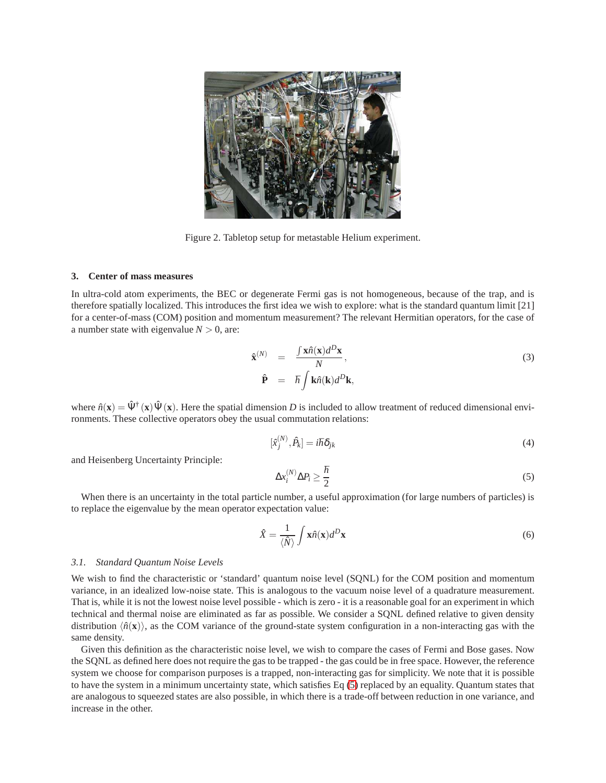

Figure 2. Tabletop setup for metastable Helium experiment.

#### **3. Center of mass measures**

In ultra-cold atom experiments, the BEC or degenerate Fermi gas is not homogeneous, because of the trap, and is therefore spatially localized. This introduces the first idea we wish to explore: what is the standard quantum limit [21] for a center-of-mass (COM) position and momentum measurement? The relevant Hermitian operators, for the case of a number state with eigenvalue  $N > 0$ , are:

<span id="page-2-0"></span>
$$
\hat{\mathbf{x}}^{(N)} = \frac{\int \mathbf{x} \hat{n}(\mathbf{x}) d^D \mathbf{x}}{N},
$$
\n
$$
\hat{\mathbf{P}} = \hbar \int \mathbf{k} \hat{n}(\mathbf{k}) d^D \mathbf{k},
$$
\n(3)

where  $\hat{n}(\mathbf{x}) = \hat{\Psi}^{\dagger}(\mathbf{x}) \hat{\Psi}(\mathbf{x})$ . Here the spatial dimension *D* is included to allow treatment of reduced dimensional environments. These collective operators obey the usual commutation relations:

$$
[\hat{x}_j^{(N)}, \hat{P}_k] = i\hbar \delta_{jk} \tag{4}
$$

and Heisenberg Uncertainty Principle:

<span id="page-2-1"></span>
$$
\Delta x_i^{(N)} \Delta P_i \ge \frac{\hbar}{2} \tag{5}
$$

When there is an uncertainty in the total particle number, a useful approximation (for large numbers of particles) is to replace the eigenvalue by the mean operator expectation value:

$$
\hat{X} = \frac{1}{\langle \hat{N} \rangle} \int \mathbf{x} \hat{n}(\mathbf{x}) d^D \mathbf{x}
$$
\n(6)

#### *3.1. Standard Quantum Noise Levels*

We wish to find the characteristic or 'standard' quantum noise level (SQNL) for the COM position and momentum variance, in an idealized low-noise state. This is analogous to the vacuum noise level of a quadrature measurement. That is, while it is not the lowest noise level possible - which is zero - it is a reasonable goal for an experiment in which technical and thermal noise are eliminated as far as possible. We consider a SQNL defined relative to given density distribution  $\langle \hat{n}(\mathbf{x}) \rangle$ , as the COM variance of the ground-state system configuration in a non-interacting gas with the same density.

Given this definition as the characteristic noise level, we wish to compare the cases of Fermi and Bose gases. Now the SQNL as defined here does not require the gas to be trapped - the gas could be in free space. However, the reference system we choose for comparison purposes is a trapped, non-interacting gas for simplicity. We note that it is possible to have the system in a minimum uncertainty state, which satisfies Eq [\(5\)](#page-2-1) replaced by an equality. Quantum states that are analogous to squeezed states are also possible, in which there is a trade-off between reduction in one variance, and increase in the other.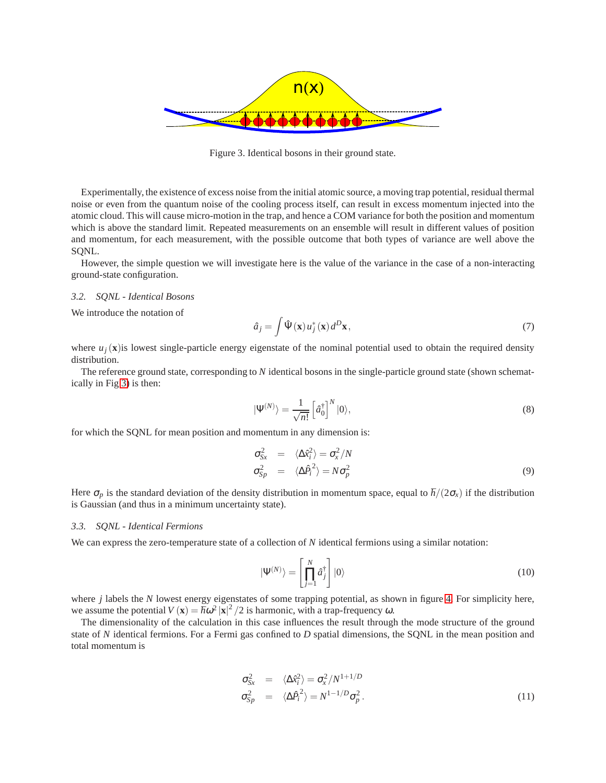

<span id="page-3-0"></span>Figure 3. Identical bosons in their ground state.

Experimentally, the existence of excess noise from the initial atomic source, a moving trap potential, residual thermal noise or even from the quantum noise of the cooling process itself, can result in excess momentum injected into the atomic cloud. This will cause micro-motion in the trap, and hence a COM variance for both the position and momentum which is above the standard limit. Repeated measurements on an ensemble will result in different values of position and momentum, for each measurement, with the possible outcome that both types of variance are well above the SQNL.

However, the simple question we will investigate here is the value of the variance in the case of a non-interacting ground-state configuration.

#### *3.2. SQNL - Identical Bosons*

We introduce the notation of

$$
\hat{a}_j = \int \hat{\Psi}(\mathbf{x}) u_j^*(\mathbf{x}) d^D \mathbf{x}, \qquad (7)
$$

where  $u_j(\mathbf{x})$  is lowest single-particle energy eigenstate of the nominal potential used to obtain the required density distribution.

The reference ground state, corresponding to *N* identical bosons in the single-particle ground state (shown schematically in Fig [3\)](#page-3-0) is then:

$$
|\Psi^{(N)}\rangle = \frac{1}{\sqrt{n!}} \left[\hat{a}_0^{\dagger}\right]^N |0\rangle,\tag{8}
$$

for which the SQNL for mean position and momentum in any dimension is:

$$
\begin{array}{rcl}\n\sigma_{Sx}^2 &=& \langle \Delta \hat{x}_i^2 \rangle = \sigma_x^2 / N \\
\sigma_{Sp}^2 &=& \langle \Delta \hat{P}_i^2 \rangle = N \sigma_p^2\n\end{array} \tag{9}
$$

Here  $\sigma_p$  is the standard deviation of the density distribution in momentum space, equal to  $\hbar/(2\sigma_x)$  if the distribution is Gaussian (and thus in a minimum uncertainty state).

## *3.3. SQNL - Identical Fermions*

We can express the zero-temperature state of a collection of *N* identical fermions using a similar notation:

$$
|\Psi^{(N)}\rangle = \left[\prod_{j=1}^{N} \hat{a}_j^{\dagger}\right] |0\rangle \tag{10}
$$

where *j* labels the *N* lowest energy eigenstates of some trapping potential, as shown in figure [4.](#page-4-0) For simplicity here, we assume the potential  $V(\mathbf{x}) = \hbar \omega^2 |\mathbf{x}|^2 / 2$  is harmonic, with a trap-frequency  $\omega$ .

The dimensionality of the calculation in this case influences the result through the mode structure of the ground state of *N* identical fermions. For a Fermi gas confined to *D* spatial dimensions, the SQNL in the mean position and total momentum is

$$
\sigma_{Sx}^2 = \langle \Delta \hat{\kappa}_i^2 \rangle = \sigma_x^2 / N^{1+1/D} \n\sigma_{Sp}^2 = \langle \Delta \hat{P}_i^2 \rangle = N^{1-1/D} \sigma_p^2.
$$
\n(11)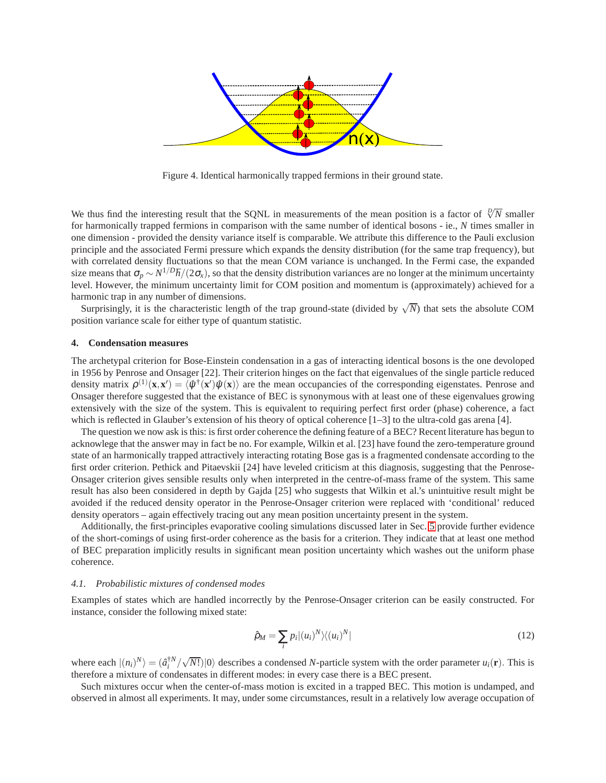

<span id="page-4-0"></span>Figure 4. Identical harmonically trapped fermions in their ground state.

We thus find the interesting result that the SQNL in measurements of the mean position is a factor of  $\sqrt[1]{N}$  smaller for harmonically trapped fermions in comparison with the same number of identical bosons - ie., *N* times smaller in one dimension - provided the density variance itself is comparable. We attribute this difference to the Pauli exclusion principle and the associated Fermi pressure which expands the density distribution (for the same trap frequency), but with correlated density fluctuations so that the mean COM variance is unchanged. In the Fermi case, the expanded size means that  $\sigma_p \sim N^{1/D} \hbar/(2\sigma_x)$ , so that the density distribution variances are no longer at the minimum uncertainty level. However, the minimum uncertainty limit for COM position and momentum is (approximately) achieved for a harmonic trap in any number of dimensions.

Surprisingly, it is the characteristic length of the trap ground-state (divided by  $\sqrt{N}$ ) that sets the absolute COM position variance scale for either type of quantum statistic.

## **4. Condensation measures**

The archetypal criterion for Bose-Einstein condensation in a gas of interacting identical bosons is the one devoloped in 1956 by Penrose and Onsager [22]. Their criterion hinges on the fact that eigenvalues of the single particle reduced density matrix  $\rho^{(1)}(\mathbf{x}, \mathbf{x}') = \langle \hat{\psi}^{\dagger}(\mathbf{x}') \hat{\psi}(\mathbf{x}) \rangle$  are the mean occupancies of the corresponding eigenstates. Penrose and Onsager therefore suggested that the existance of BEC is synonymous with at least one of these eigenvalues growing extensively with the size of the system. This is equivalent to requiring perfect first order (phase) coherence, a fact which is reflected in Glauber's extension of his theory of optical coherence  $[1-3]$  to the ultra-cold gas arena [4].

The question we now ask is this: is first order coherence the defining feature of a BEC? Recent literature has begun to acknowlege that the answer may in fact be no. For example, Wilkin et al. [23] have found the zero-temperature ground state of an harmonically trapped attractively interacting rotating Bose gas is a fragmented condensate according to the first order criterion. Pethick and Pitaevskii [24] have leveled criticism at this diagnosis, suggesting that the Penrose-Onsager criterion gives sensible results only when interpreted in the centre-of-mass frame of the system. This same result has also been considered in depth by Gajda [25] who suggests that Wilkin et al.'s unintuitive result might be avoided if the reduced density operator in the Penrose-Onsager criterion were replaced with 'conditional' reduced density operators – again effectively tracing out any mean position uncertainty present in the system.

Additionally, the first-principles evaporative cooling simulations discussed later in Sec. [5](#page-5-0) provide further evidence of the short-comings of using first-order coherence as the basis for a criterion. They indicate that at least one method of BEC preparation implicitly results in significant mean position uncertainty which washes out the uniform phase coherence.

### *4.1. Probabilistic mixtures of condensed modes*

Examples of states which are handled incorrectly by the Penrose-Onsager criterion can be easily constructed. For instance, consider the following mixed state:

$$
\hat{\rho}_M = \sum_i p_i |(u_i)^N \rangle \langle (u_i)^N| \tag{12}
$$

where each  $|(n_i)^N\rangle = (a_i^{\dagger N}/\sqrt{N!})|0\rangle$  describes a condensed *N*-particle system with the order parameter  $u_i(\mathbf{r})$ . This is therefore a mixture of condensates in different modes: in every case there is a BEC present.

Such mixtures occur when the center-of-mass motion is excited in a trapped BEC. This motion is undamped, and observed in almost all experiments. It may, under some circumstances, result in a relatively low average occupation of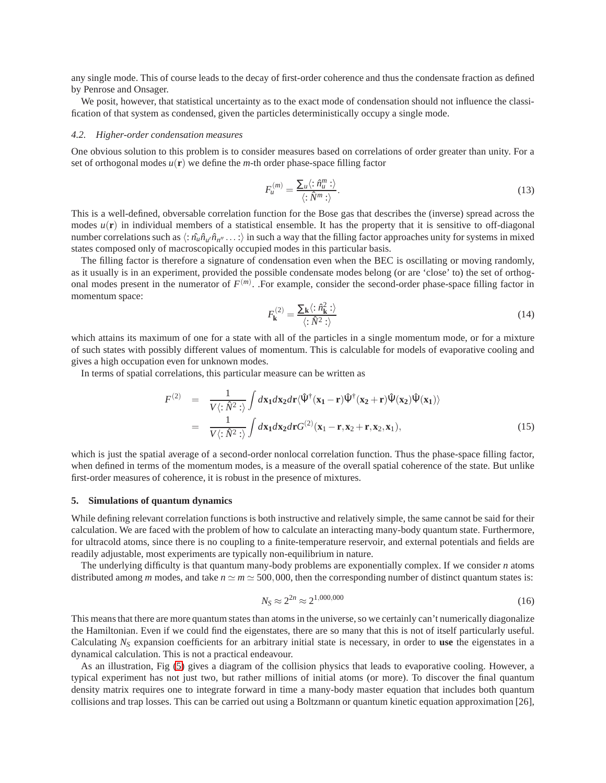any single mode. This of course leads to the decay of first-order coherence and thus the condensate fraction as defined by Penrose and Onsager.

We posit, however, that statistical uncertainty as to the exact mode of condensation should not influence the classification of that system as condensed, given the particles deterministically occupy a single mode.

## *4.2. Higher-order condensation measures*

One obvious solution to this problem is to consider measures based on correlations of order greater than unity. For a set of orthogonal modes  $u(\mathbf{r})$  we define the *m*-th order phase-space filling factor

$$
F_u^{(m)} = \frac{\sum_u \langle : \hat{n}_u^m : \rangle}{\langle : \hat{N}^m : \rangle}.
$$
\n(13)

This is a well-defined, obversable correlation function for the Bose gas that describes the (inverse) spread across the modes  $u(\mathbf{r})$  in individual members of a statistical ensemble. It has the property that it is sensitive to off-diagonal number correlations such as  $\langle : \hat{n_u} \hat{n}_{u'} \hat{n}_{n''} \dots : \rangle$  in such a way that the filling factor approaches unity for systems in mixed states composed only of macroscopically occupied modes in this particular basis.

The filling factor is therefore a signature of condensation even when the BEC is oscillating or moving randomly, as it usually is in an experiment, provided the possible condensate modes belong (or are 'close' to) the set of orthogonal modes present in the numerator of  $F^{(m)}$ . For example, consider the second-order phase-space filling factor in momentum space:

<span id="page-5-1"></span>
$$
F_{\mathbf{k}}^{(2)} = \frac{\sum_{\mathbf{k}} \langle : \hat{n}_{\mathbf{k}}^{2} : \rangle}{\langle : \hat{N}^{2} : \rangle}
$$
 (14)

which attains its maximum of one for a state with all of the particles in a single momentum mode, or for a mixture of such states with possibly different values of momentum. This is calculable for models of evaporative cooling and gives a high occupation even for unknown modes.

In terms of spatial correlations, this particular measure can be written as

$$
F^{(2)} = \frac{1}{V \langle : \hat{N}^2 : \rangle} \int d\mathbf{x}_1 d\mathbf{x}_2 d\mathbf{r} \langle \hat{\Psi}^{\dagger} (\mathbf{x}_1 - \mathbf{r}) \hat{\Psi}^{\dagger} (\mathbf{x}_2 + \mathbf{r}) \hat{\Psi} (\mathbf{x}_2) \hat{\Psi} (\mathbf{x}_1) \rangle
$$
  
= 
$$
\frac{1}{V \langle : \hat{N}^2 : \rangle} \int d\mathbf{x}_1 d\mathbf{x}_2 d\mathbf{r} G^{(2)} (\mathbf{x}_1 - \mathbf{r}, \mathbf{x}_2 + \mathbf{r}, \mathbf{x}_2, \mathbf{x}_1),
$$
(15)

which is just the spatial average of a second-order nonlocal correlation function. Thus the phase-space filling factor, when defined in terms of the momentum modes, is a measure of the overall spatial coherence of the state. But unlike first-order measures of coherence, it is robust in the presence of mixtures.

## <span id="page-5-0"></span>**5. Simulations of quantum dynamics**

While defining relevant correlation functions is both instructive and relatively simple, the same cannot be said for their calculation. We are faced with the problem of how to calculate an interacting many-body quantum state. Furthermore, for ultracold atoms, since there is no coupling to a finite-temperature reservoir, and external potentials and fields are readily adjustable, most experiments are typically non-equilibrium in nature.

The underlying difficulty is that quantum many-body problems are exponentially complex. If we consider *n* atoms distributed among *m* modes, and take  $n \approx m \approx 500,000$ , then the corresponding number of distinct quantum states is:

$$
N_S \approx 2^{2n} \approx 2^{1,000,000} \tag{16}
$$

This means that there are more quantum states than atoms in the universe, so we certainly can't numerically diagonalize the Hamiltonian. Even if we could find the eigenstates, there are so many that this is not of itself particularly useful. Calculating  $N<sub>S</sub>$  expansion coefficients for an arbitrary initial state is necessary, in order to **use** the eigenstates in a dynamical calculation. This is not a practical endeavour.

As an illustration, Fig [\(5\)](#page-6-0) gives a diagram of the collision physics that leads to evaporative cooling. However, a typical experiment has not just two, but rather millions of initial atoms (or more). To discover the final quantum density matrix requires one to integrate forward in time a many-body master equation that includes both quantum collisions and trap losses. This can be carried out using a Boltzmann or quantum kinetic equation approximation [26],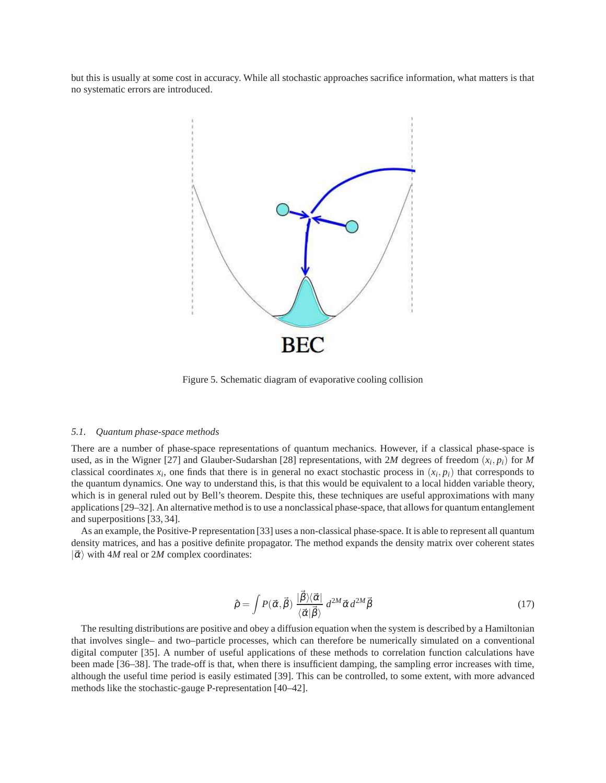but this is usually at some cost in accuracy. While all stochastic approaches sacrifice information, what matters is that no systematic errors are introduced.



<span id="page-6-0"></span>Figure 5. Schematic diagram of evaporative cooling collision

#### *5.1. Quantum phase-space methods*

There are a number of phase-space representations of quantum mechanics. However, if a classical phase-space is used, as in the Wigner [27] and Glauber-Sudarshan [28] representations, with 2*M* degrees of freedom (*x<sup>i</sup>* , *pi*) for *M* classical coordinates  $x_i$ , one finds that there is in general no exact stochastic process in  $(x_i, p_i)$  that corresponds to the quantum dynamics. One way to understand this, is that this would be equivalent to a local hidden variable theory, which is in general ruled out by Bell's theorem. Despite this, these techniques are useful approximations with many applications [29–32]. An alternative method is to use a nonclassical phase-space, that allows for quantum entanglement and superpositions [33, 34].

As an example, the Positive-P representation [33] uses a non-classical phase-space. It is able to represent all quantum density matrices, and has a positive definite propagator. The method expands the density matrix over coherent states  $|\vec{\alpha}\rangle$  with 4*M* real or 2*M* complex coordinates:

$$
\hat{\rho} = \int P(\vec{\alpha}, \vec{\beta}) \, \frac{|\vec{\beta}\rangle\langle\vec{\alpha}|}{\langle\vec{\alpha}|\vec{\beta}\rangle} \, d^{2M}\vec{\alpha} \, d^{2M}\vec{\beta} \tag{17}
$$

The resulting distributions are positive and obey a diffusion equation when the system is described by a Hamiltonian that involves single– and two–particle processes, which can therefore be numerically simulated on a conventional digital computer [35]. A number of useful applications of these methods to correlation function calculations have been made [36–38]. The trade-off is that, when there is insufficient damping, the sampling error increases with time, although the useful time period is easily estimated [39]. This can be controlled, to some extent, with more advanced methods like the stochastic-gauge P-representation [40–42].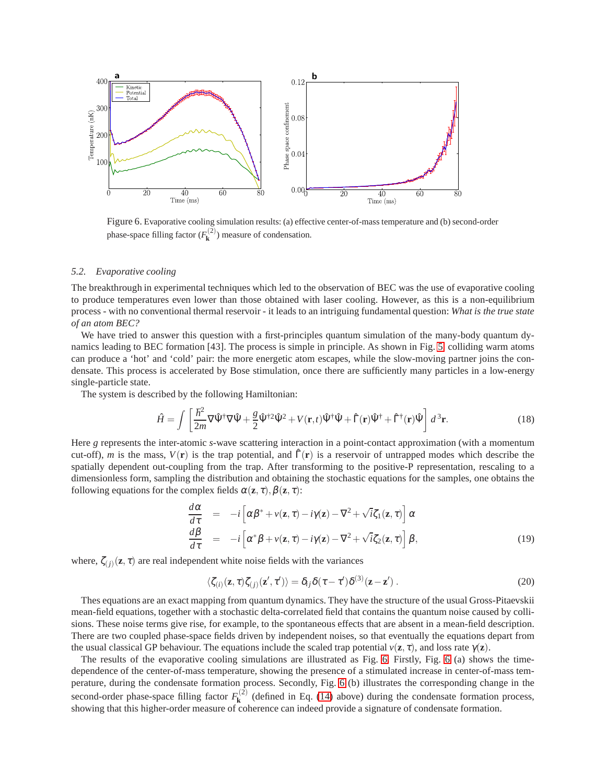

<span id="page-7-0"></span>Figure 6. Evaporative cooling simulation results: (a) effective center-of-mass temperature and (b) second-order phase-space filling factor  $(F_k^{(2)})$  measure of condensation.

## *5.2. Evaporative cooling*

The breakthrough in experimental techniques which led to the observation of BEC was the use of evaporative cooling to produce temperatures even lower than those obtained with laser cooling. However, as this is a non-equilibrium process - with no conventional thermal reservoir - it leads to an intriguing fundamental question: *What is the true state of an atom BEC?*

We have tried to answer this question with a first-principles quantum simulation of the many-body quantum dynamics leading to BEC formation [43]. The process is simple in principle. As shown in Fig. [5,](#page-6-0) colliding warm atoms can produce a 'hot' and 'cold' pair: the more energetic atom escapes, while the slow-moving partner joins the condensate. This process is accelerated by Bose stimulation, once there are sufficiently many particles in a low-energy single-particle state.

The system is described by the following Hamiltonian:

<span id="page-7-1"></span>
$$
\hat{H} = \int \left[ \frac{\hbar^2}{2m} \nabla \hat{\Psi}^\dagger \nabla \hat{\Psi} + \frac{g}{2} \hat{\Psi}^{\dagger 2} \hat{\Psi}^2 + V(\mathbf{r}, t) \hat{\Psi}^\dagger \hat{\Psi} + \hat{\Gamma}(\mathbf{r}) \hat{\Psi}^\dagger + \hat{\Gamma}^\dagger(\mathbf{r}) \hat{\Psi} \right] d^3 \mathbf{r}.
$$
 (18)

Here *g* represents the inter-atomic *s*-wave scattering interaction in a point-contact approximation (with a momentum cut-off), *m* is the mass,  $V(\mathbf{r})$  is the trap potential, and  $\hat{\Gamma}(\mathbf{r})$  is a reservoir of untrapped modes which describe the spatially dependent out-coupling from the trap. After transforming to the positive-P representation, rescaling to a dimensionless form, sampling the distribution and obtaining the stochastic equations for the samples, one obtains the following equations for the complex fields  $\alpha(\mathbf{z}, \tau)$ ,  $\beta(\mathbf{z}, \tau)$ :

$$
\frac{d\alpha}{d\tau} = -i \left[ \alpha \beta^* + v(\mathbf{z}, \tau) - i \gamma(\mathbf{z}) - \nabla^2 + \sqrt{i} \zeta_1(\mathbf{z}, \tau) \right] \alpha
$$
\n
$$
\frac{d\beta}{d\tau} = -i \left[ \alpha^* \beta + v(\mathbf{z}, \tau) - i \gamma(\mathbf{z}) - \nabla^2 + \sqrt{i} \zeta_2(\mathbf{z}, \tau) \right] \beta,
$$
\n(19)

where,  $\zeta_{(j)}(\mathbf{z}, \tau)$  are real independent white noise fields with the variances

$$
\langle \zeta_{(i)}(\mathbf{z}, \tau) \zeta_{(j)}(\mathbf{z}', \tau') \rangle = \delta_{ij} \delta(\tau - \tau') \delta^{(3)}(\mathbf{z} - \mathbf{z}'). \tag{20}
$$

Thes equations are an exact mapping from quantum dynamics. They have the structure of the usual Gross-Pitaevskii mean-field equations, together with a stochastic delta-correlated field that contains the quantum noise caused by collisions. These noise terms give rise, for example, to the spontaneous effects that are absent in a mean-field description. There are two coupled phase-space fields driven by independent noises, so that eventually the equations depart from the usual classical GP behaviour. The equations include the scaled trap potential  $v(\mathbf{z}, \tau)$ , and loss rate  $\gamma(\mathbf{z})$ .

The results of the evaporative cooling simulations are illustrated as Fig. [6.](#page-7-0) Firstly, Fig. [6](#page-7-0) (a) shows the timedependence of the center-of-mass temperature, showing the presence of a stimulated increase in center-of-mass temperature, during the condensate formation process. Secondly, Fig. [6](#page-7-0) (b) illustrates the corresponding change in the second-order phase-space filling factor  $F_{\mathbf{k}}^{(2)}$  $k_{\mathbf{k}}^{(2)}$  (defined in Eq. [\(14\)](#page-5-1) above) during the condensate formation process, showing that this higher-order measure of coherence can indeed provide a signature of condensate formation.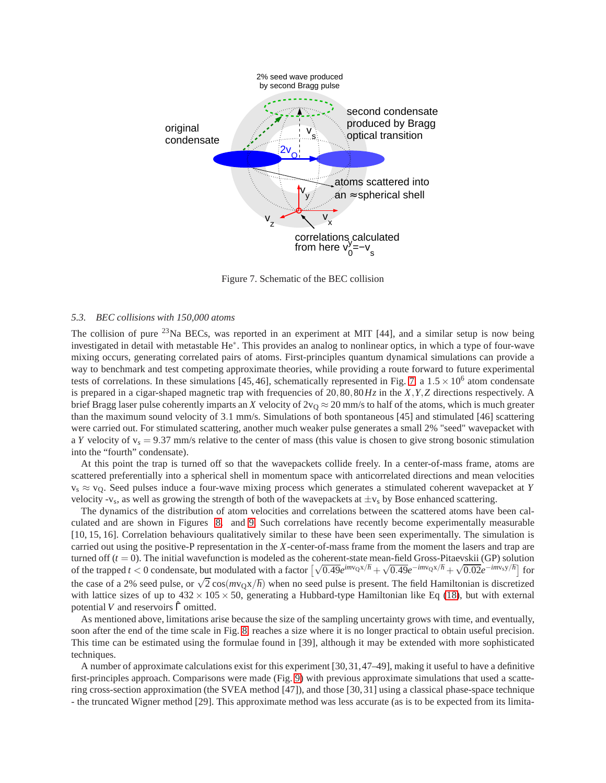

<span id="page-8-0"></span>Figure 7. Schematic of the BEC collision

# *5.3. BEC collisions with 150,000 atoms*

The collision of pure <sup>23</sup>Na BECs, was reported in an experiment at MIT [44], and a similar setup is now being investigated in detail with metastable He∗ . This provides an analog to nonlinear optics, in which a type of four-wave mixing occurs, generating correlated pairs of atoms. First-principles quantum dynamical simulations can provide a way to benchmark and test competing approximate theories, while providing a route forward to future experimental tests of correlations. In these simulations [45, 46], schematically represented in Fig. [7,](#page-8-0) a  $1.5 \times 10^6$  atom condensate is prepared in a cigar-shaped magnetic trap with frequencies of 20,80,80*Hz* in the *X*,*Y*,*Z* directions respectively. A brief Bragg laser pulse coherently imparts an *X* velocity of  $2v<sub>0</sub> \approx 20$  mm/s to half of the atoms, which is much greater than the maximum sound velocity of 3.1 mm/s. Simulations of both spontaneous [45] and stimulated [46] scattering were carried out. For stimulated scattering, another much weaker pulse generates a small 2% "seed" wavepacket with a *Y* velocity of  $v_s = 9.37$  mm/s relative to the center of mass (this value is chosen to give strong bosonic stimulation into the "fourth" condensate).

At this point the trap is turned off so that the wavepackets collide freely. In a center-of-mass frame, atoms are scattered preferentially into a spherical shell in momentum space with anticorrelated directions and mean velocities v<sup>s</sup> ≈ vQ. Seed pulses induce a four-wave mixing process which generates a stimulated coherent wavepacket at *Y* velocity -v<sub>s</sub>, as well as growing the strength of both of the wavepackets at  $\pm v_s$  by Bose enhanced scattering.

The dynamics of the distribution of atom velocities and correlations between the scattered atoms have been calculated and are shown in Figures [8.](#page-9-0) and [9.](#page-9-1) Such correlations have recently become experimentally measurable [10, 15, 16]. Correlation behaviours qualitatively similar to these have been seen experimentally. The simulation is carried out using the positive-P representation in the *X*-center-of-mass frame from the moment the lasers and trap are turned off  $(t = 0)$ . The initial wavefunction is modeled as the coherent-state mean-field Gross-Pitaevskii (GP) solution of the trapped *t* < 0 condensate, but modulated with a factor  $\left[\sqrt{0.49}e^{imv_0x/\hbar} + \sqrt{0.49}e^{-imv_0x/\hbar} + \sqrt{0.02}e^{-imv_0y/\hbar}\right]$  for the case of a 2% seed pulse, or  $\sqrt{2} \cos(mv_Qx/\hbar)$  when no seed pulse is present. The field Hamiltonian is discretized with lattice sizes of up to  $432 \times 105 \times 50$ , generating a Hubbard-type Hamiltonian like Eq [\(18\)](#page-7-1), but with external potential *V* and reservoirs  $\hat{\Gamma}$  omitted.

As mentioned above, limitations arise because the size of the sampling uncertainty grows with time, and eventually, soon after the end of the time scale in Fig. [8,](#page-9-0) reaches a size where it is no longer practical to obtain useful precision. This time can be estimated using the formulae found in [39], although it may be extended with more sophisticated techniques.

A number of approximate calculations exist for this experiment [30,31,47–49], making it useful to have a definitive first-principles approach. Comparisons were made (Fig. [9\)](#page-9-1) with previous approximate simulations that used a scattering cross-section approximation (the SVEA method [47]), and those [30, 31] using a classical phase-space technique - the truncated Wigner method [29]. This approximate method was less accurate (as is to be expected from its limita-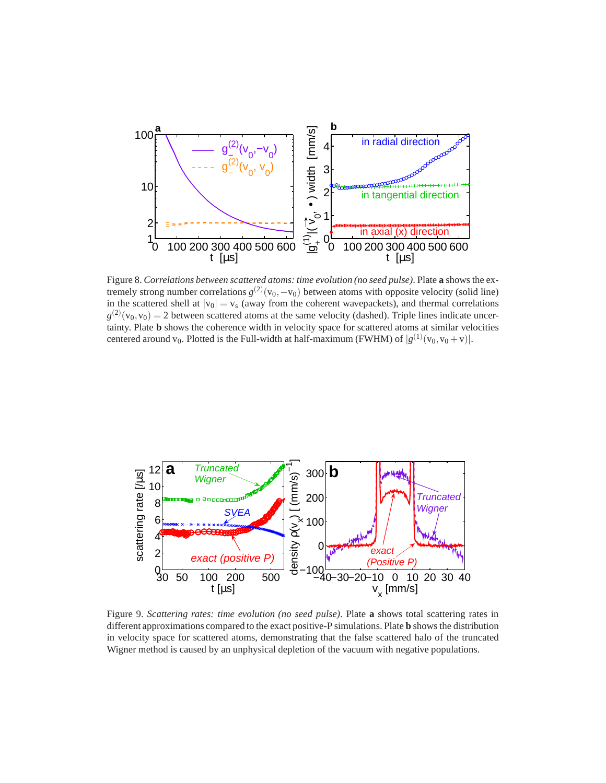

<span id="page-9-0"></span>Figure 8. *Correlations between scattered atoms: time evolution (no seed pulse)*. Plate **a** shows the extremely strong number correlations  $g^{(2)}(v_0, -v_0)$  between atoms with opposite velocity (solid line) in the scattered shell at  $|v_0| = v_s$  (away from the coherent wavepackets), and thermal correlations  $g^{(2)}(v_0, v_0) = 2$  between scattered atoms at the same velocity (dashed). Triple lines indicate uncertainty. Plate **b** shows the coherence width in velocity space for scattered atoms at similar velocities centered around v<sub>0</sub>. Plotted is the Full-width at half-maximum (FWHM) of  $|g^{(1)}(v_0, v_0 + v)|$ .



<span id="page-9-1"></span>Figure 9. *Scattering rates: time evolution (no seed pulse)*. Plate **a** shows total scattering rates in different approximations compared to the exact positive-P simulations. Plate **b** shows the distribution in velocity space for scattered atoms, demonstrating that the false scattered halo of the truncated Wigner method is caused by an unphysical depletion of the vacuum with negative populations.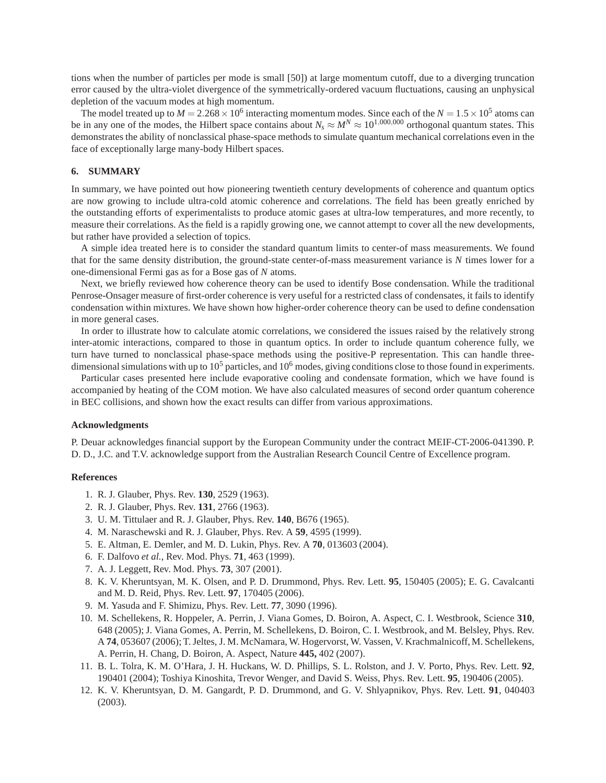tions when the number of particles per mode is small [50]) at large momentum cutoff, due to a diverging truncation error caused by the ultra-violet divergence of the symmetrically-ordered vacuum fluctuations, causing an unphysical depletion of the vacuum modes at high momentum.

The model treated up to  $M = 2.268 \times 10^6$  interacting momentum modes. Since each of the  $N = 1.5 \times 10^5$  atoms can be in any one of the modes, the Hilbert space contains about  $N_s \approx M^N \approx 10^{1,000,000}$  orthogonal quantum states. This demonstrates the ability of nonclassical phase-space methods to simulate quantum mechanical correlations even in the face of exceptionally large many-body Hilbert spaces.

#### **6. SUMMARY**

In summary, we have pointed out how pioneering twentieth century developments of coherence and quantum optics are now growing to include ultra-cold atomic coherence and correlations. The field has been greatly enriched by the outstanding efforts of experimentalists to produce atomic gases at ultra-low temperatures, and more recently, to measure their correlations. As the field is a rapidly growing one, we cannot attempt to cover all the new developments, but rather have provided a selection of topics.

A simple idea treated here is to consider the standard quantum limits to center-of mass measurements. We found that for the same density distribution, the ground-state center-of-mass measurement variance is *N* times lower for a one-dimensional Fermi gas as for a Bose gas of *N* atoms.

Next, we briefly reviewed how coherence theory can be used to identify Bose condensation. While the traditional Penrose-Onsager measure of first-order coherence is very useful for a restricted class of condensates, it fails to identify condensation within mixtures. We have shown how higher-order coherence theory can be used to define condensation in more general cases.

In order to illustrate how to calculate atomic correlations, we considered the issues raised by the relatively strong inter-atomic interactions, compared to those in quantum optics. In order to include quantum coherence fully, we turn have turned to nonclassical phase-space methods using the positive-P representation. This can handle threedimensional simulations with up to  $10^5$  particles, and  $10^6$  modes, giving conditions close to those found in experiments.

Particular cases presented here include evaporative cooling and condensate formation, which we have found is accompanied by heating of the COM motion. We have also calculated measures of second order quantum coherence in BEC collisions, and shown how the exact results can differ from various approximations.

# **Acknowledgments**

P. Deuar acknowledges financial support by the European Community under the contract MEIF-CT-2006-041390. P. D. D., J.C. and T.V. acknowledge support from the Australian Research Council Centre of Excellence program.

## **References**

- 1. R. J. Glauber, Phys. Rev. **130**, 2529 (1963).
- 2. R. J. Glauber, Phys. Rev. **131**, 2766 (1963).
- 3. U. M. Tittulaer and R. J. Glauber, Phys. Rev. **140**, B676 (1965).
- 4. M. Naraschewski and R. J. Glauber, Phys. Rev. A **59**, 4595 (1999).
- 5. E. Altman, E. Demler, and M. D. Lukin, Phys. Rev. A **70**, 013603 (2004).
- 6. F. Dalfovo *et al.*, Rev. Mod. Phys. **71**, 463 (1999).
- 7. A. J. Leggett, Rev. Mod. Phys. **73**, 307 (2001).
- 8. K. V. Kheruntsyan, M. K. Olsen, and P. D. Drummond, Phys. Rev. Lett. **95**, 150405 (2005); E. G. Cavalcanti and M. D. Reid, Phys. Rev. Lett. **97**, 170405 (2006).
- 9. M. Yasuda and F. Shimizu, Phys. Rev. Lett. **77**, 3090 (1996).
- 10. M. Schellekens, R. Hoppeler, A. Perrin, J. Viana Gomes, D. Boiron, A. Aspect, C. I. Westbrook, Science **310**, 648 (2005); J. Viana Gomes, A. Perrin, M. Schellekens, D. Boiron, C. I. Westbrook, and M. Belsley, Phys. Rev. A **74**, 053607 (2006); T. Jeltes, J. M. McNamara, W. Hogervorst, W. Vassen, V. Krachmalnicoff, M. Schellekens, A. Perrin, H. Chang, D. Boiron, A. Aspect, Nature **445,** 402 (2007).
- 11. B. L. Tolra, K. M. O'Hara, J. H. Huckans, W. D. Phillips, S. L. Rolston, and J. V. Porto, Phys. Rev. Lett. **92**, 190401 (2004); Toshiya Kinoshita, Trevor Wenger, and David S. Weiss, Phys. Rev. Lett. **95**, 190406 (2005).
- 12. K. V. Kheruntsyan, D. M. Gangardt, P. D. Drummond, and G. V. Shlyapnikov, Phys. Rev. Lett. **91**, 040403 (2003).